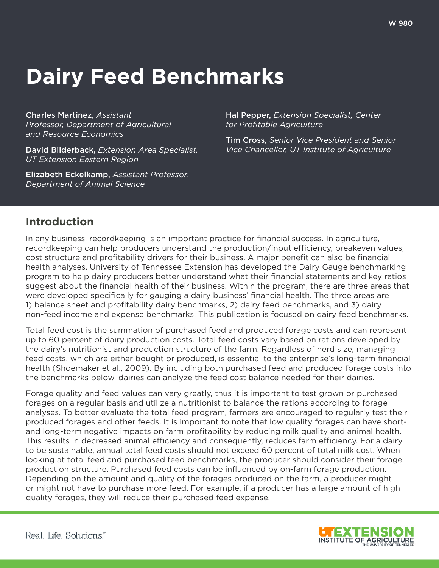# **Dairy Feed Benchmarks**

Charles Martinez, *Assistant Professor, Department of Agricultural and Resource Economics*

David Bilderback, *Extension Area Specialist, UT Extension Eastern Region*

Elizabeth Eckelkamp, *Assistant Professor, Department of Animal Science*

Hal Pepper, *Extension Specialist, Center for Profitable Agriculture*

Tim Cross, *Senior Vice President and Senior Vice Chancellor, UT Institute of Agriculture*

# **Introduction**

In any business, recordkeeping is an important practice for financial success. In agriculture, recordkeeping can help producers understand the production/input efficiency, breakeven values, cost structure and profitability drivers for their business. A major benefit can also be financial health analyses. University of Tennessee Extension has developed the Dairy Gauge benchmarking program to help dairy producers better understand what their financial statements and key ratios suggest about the financial health of their business. Within the program, there are three areas that were developed specifically for gauging a dairy business' financial health. The three areas are 1) balance sheet and profitability dairy benchmarks, 2) dairy feed benchmarks, and 3) dairy non-feed income and expense benchmarks. This publication is focused on dairy feed benchmarks.

Total feed cost is the summation of purchased feed and produced forage costs and can represent up to 60 percent of dairy production costs. Total feed costs vary based on rations developed by the dairy's nutritionist and production structure of the farm. Regardless of herd size, managing feed costs, which are either bought or produced, is essential to the enterprise's long-term financial health (Shoemaker et al., 2009). By including both purchased feed and produced forage costs into the benchmarks below, dairies can analyze the feed cost balance needed for their dairies.

Forage quality and feed values can vary greatly, thus it is important to test grown or purchased forages on a regular basis and utilize a nutritionist to balance the rations according to forage analyses. To better evaluate the total feed program, farmers are encouraged to regularly test their produced forages and other feeds. It is important to note that low quality forages can have shortand long-term negative impacts on farm profitability by reducing milk quality and animal health. This results in decreased animal efficiency and consequently, reduces farm efficiency. For a dairy to be sustainable, annual total feed costs should not exceed 60 percent of total milk cost. When looking at total feed and purchased feed benchmarks, the producer should consider their forage production structure. Purchased feed costs can be influenced by on-farm forage production. Depending on the amount and quality of the forages produced on the farm, a producer might or might not have to purchase more feed. For example, if a producer has a large amount of high quality forages, they will reduce their purchased feed expense.

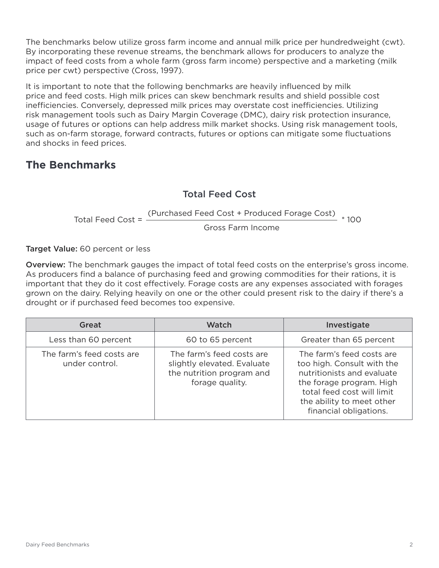The benchmarks below utilize gross farm income and annual milk price per hundredweight (cwt). By incorporating these revenue streams, the benchmark allows for producers to analyze the impact of feed costs from a whole farm (gross farm income) perspective and a marketing (milk price per cwt) perspective (Cross, 1997).

It is important to note that the following benchmarks are heavily influenced by milk price and feed costs. High milk prices can skew benchmark results and shield possible cost inefficiencies. Conversely, depressed milk prices may overstate cost inefficiencies. Utilizing risk management tools such as Dairy Margin Coverage (DMC), dairy risk protection insurance, usage of futures or options can help address milk market shocks. Using risk management tools, such as on-farm storage, forward contracts, futures or options can mitigate some fluctuations and shocks in feed prices.

# **The Benchmarks**

#### Total Feed Cost

Total Feed Cost = (Purchased Feed Cost + Produced Forage Cost) \* 100 Gross Farm Income

Target Value: 60 percent or less

Overview: The benchmark gauges the impact of total feed costs on the enterprise's gross income. As producers find a balance of purchasing feed and growing commodities for their rations, it is important that they do it cost effectively. Forage costs are any expenses associated with forages grown on the dairy. Relying heavily on one or the other could present risk to the dairy if there's a drought or if purchased feed becomes too expensive.

| Great                                       | <b>Watch</b>                                                                                             | Investigate                                                                                                                                                                                            |
|---------------------------------------------|----------------------------------------------------------------------------------------------------------|--------------------------------------------------------------------------------------------------------------------------------------------------------------------------------------------------------|
| Less than 60 percent                        | 60 to 65 percent                                                                                         | Greater than 65 percent                                                                                                                                                                                |
| The farm's feed costs are<br>under control. | The farm's feed costs are<br>slightly elevated. Evaluate<br>the nutrition program and<br>forage quality. | The farm's feed costs are<br>too high. Consult with the<br>nutritionists and evaluate<br>the forage program. High<br>total feed cost will limit<br>the ability to meet other<br>financial obligations. |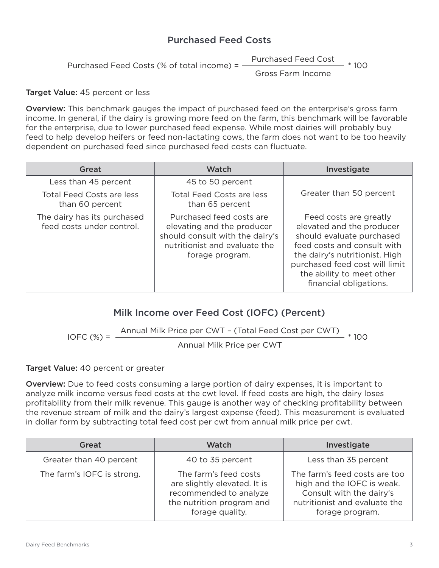#### Purchased Feed Costs

Purchased Feed Cost  $- * 100$ 

Purchased Feed Costs (% of total income) =

Gross Farm Income

Target Value: 45 percent or less

Overview: This benchmark gauges the impact of purchased feed on the enterprise's gross farm income. In general, if the dairy is growing more feed on the farm, this benchmark will be favorable for the enterprise, due to lower purchased feed expense. While most dairies will probably buy feed to help develop heifers or feed non-lactating cows, the farm does not want to be too heavily dependent on purchased feed since purchased feed costs can fluctuate.

| Great                                                    | Watch                                                                                                                                         | Investigate                                                                                                                                                                                                                                |
|----------------------------------------------------------|-----------------------------------------------------------------------------------------------------------------------------------------------|--------------------------------------------------------------------------------------------------------------------------------------------------------------------------------------------------------------------------------------------|
| Less than 45 percent                                     | 45 to 50 percent                                                                                                                              |                                                                                                                                                                                                                                            |
| <b>Total Feed Costs are less</b><br>than 60 percent      | <b>Total Feed Costs are less</b><br>than 65 percent                                                                                           | Greater than 50 percent                                                                                                                                                                                                                    |
| The dairy has its purchased<br>feed costs under control. | Purchased feed costs are<br>elevating and the producer<br>should consult with the dairy's<br>nutritionist and evaluate the<br>forage program. | Feed costs are greatly<br>elevated and the producer<br>should evaluate purchased<br>feed costs and consult with<br>the dairy's nutritionist. High<br>purchased feed cost will limit<br>the ability to meet other<br>financial obligations. |

### Milk Income over Feed Cost (IOFC) (Percent)

 $IOFC (%) =$ Annual Milk Price per CWT - (Total Feed Cost per CWT) \* 100

Annual Milk Price per CWT

#### Target Value: 40 percent or greater

Overview: Due to feed costs consuming a large portion of dairy expenses, it is important to analyze milk income versus feed costs at the cwt level. If feed costs are high, the dairy loses profitability from their milk revenue. This gauge is another way of checking profitability between the revenue stream of milk and the dairy's largest expense (feed). This measurement is evaluated in dollar form by subtracting total feed cost per cwt from annual milk price per cwt.

| Great                      | <b>Watch</b>                                                                                                                    | Investigate                                                                                                                                 |
|----------------------------|---------------------------------------------------------------------------------------------------------------------------------|---------------------------------------------------------------------------------------------------------------------------------------------|
| Greater than 40 percent    | 40 to 35 percent                                                                                                                | Less than 35 percent                                                                                                                        |
| The farm's IOFC is strong. | The farm's feed costs<br>are slightly elevated. It is<br>recommended to analyze<br>the nutrition program and<br>forage quality. | The farm's feed costs are too<br>high and the IOFC is weak.<br>Consult with the dairy's<br>nutritionist and evaluate the<br>forage program. |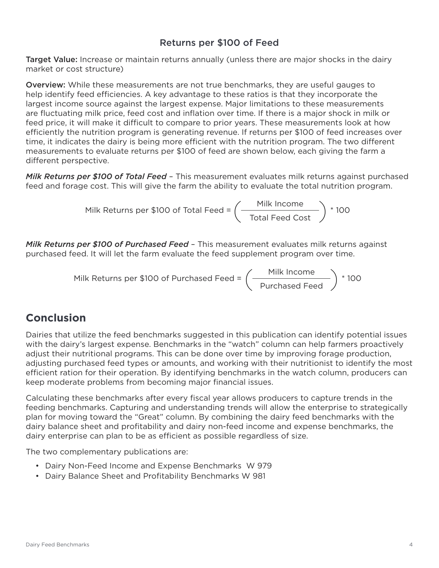#### Returns per \$100 of Feed

Target Value: Increase or maintain returns annually (unless there are major shocks in the dairy market or cost structure)

Overview: While these measurements are not true benchmarks, they are useful gauges to help identify feed efficiencies. A key advantage to these ratios is that they incorporate the largest income source against the largest expense. Major limitations to these measurements are fluctuating milk price, feed cost and inflation over time. If there is a major shock in milk or feed price, it will make it difficult to compare to prior years. These measurements look at how efficiently the nutrition program is generating revenue. If returns per \$100 of feed increases over time, it indicates the dairy is being more efficient with the nutrition program. The two different measurements to evaluate returns per \$100 of feed are shown below, each giving the farm a different perspective.

*Milk Returns per \$100 of Total Feed* – This measurement evaluates milk returns against purchased feed and forage cost. This will give the farm the ability to evaluate the total nutrition program.

Milk Returns per \$100 of Total Feed = 
$$
\left(\frac{\text{Milk Income}}{\text{Total Feed Cost}}\right) * 100
$$

*Milk Returns per \$100 of Purchased Feed* – This measurement evaluates milk returns against purchased feed. It will let the farm evaluate the feed supplement program over time.

Milk Returns per \$100 of Purchased Feed = 
$$
\left(\frac{\text{Milk Income}}{\text{Purchased Feed}}\right) * 100
$$

# **Conclusion**

Dairies that utilize the feed benchmarks suggested in this publication can identify potential issues with the dairy's largest expense. Benchmarks in the "watch" column can help farmers proactively adjust their nutritional programs. This can be done over time by improving forage production, adjusting purchased feed types or amounts, and working with their nutritionist to identify the most efficient ration for their operation. By identifying benchmarks in the watch column, producers can keep moderate problems from becoming major financial issues.

Calculating these benchmarks after every fiscal year allows producers to capture trends in the feeding benchmarks. Capturing and understanding trends will allow the enterprise to strategically plan for moving toward the "Great" column. By combining the dairy feed benchmarks with the dairy balance sheet and profitability and dairy non-feed income and expense benchmarks, the dairy enterprise can plan to be as efficient as possible regardless of size.

The two complementary publications are:

- Dairy Non-Feed Income and Expense Benchmarks W 979
- Dairy Balance Sheet and Profitability Benchmarks W 981